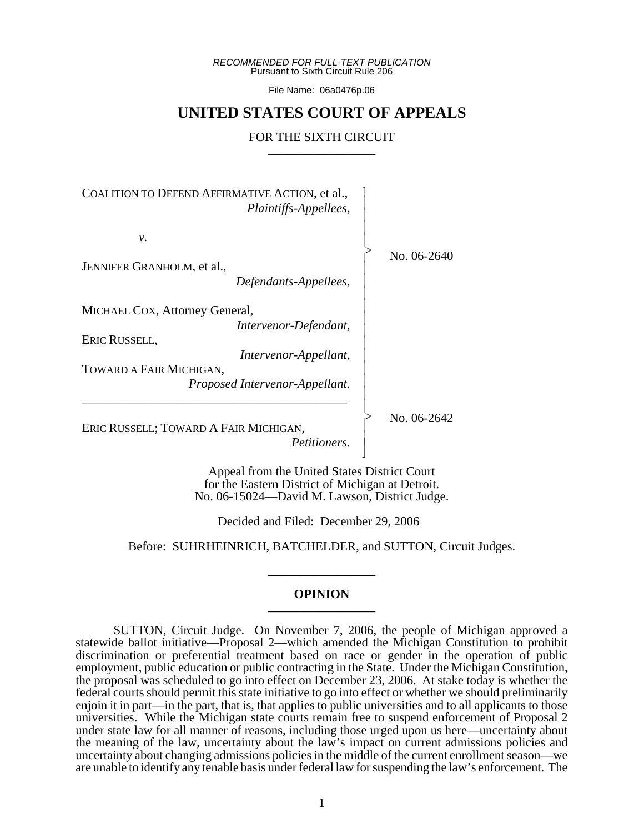*RECOMMENDED FOR FULL-TEXT PUBLICATION* Pursuant to Sixth Circuit Rule 206

File Name: 06a0476p.06

# **UNITED STATES COURT OF APPEALS**

# FOR THE SIXTH CIRCUIT

COALITION TO DEFEND AFFIRMATIVE ACTION, et al., *Plaintiffs-Appellees, v.* JENNIFER GRANHOLM, et al., *Defendants-Appellees,* MICHAEL COX, Attorney General, *Intervenor-Defendant,* ERIC RUSSELL, *Intervenor-Appellant,* TOWARD A FAIR MICHIGAN, *Proposed Intervenor-Appellant.* \_\_\_\_\_\_\_\_\_\_\_\_\_\_\_\_\_\_\_\_\_\_\_\_\_\_\_\_\_\_\_\_\_\_\_\_\_\_\_\_\_\_ ERIC RUSSELL; TOWARD A FAIR MICHIGAN,  $\overline{\phantom{a}}$ - - - -  $\succ$ |<br>|<br>| - - - - - - - - - - - -  $\mathord{>}$ -

*Petitioners.*

Appeal from the United States District Court for the Eastern District of Michigan at Detroit. No. 06-15024—David M. Lawson, District Judge.

- N

Decided and Filed: December 29, 2006

Before: SUHRHEINRICH, BATCHELDER, and SUTTON, Circuit Judges.

**\_\_\_\_\_\_\_\_\_\_\_\_\_\_\_\_\_**

#### **OPINION \_\_\_\_\_\_\_\_\_\_\_\_\_\_\_\_\_**

SUTTON, Circuit Judge. On November 7, 2006, the people of Michigan approved a statewide ballot initiative—Proposal 2—which amended the Michigan Constitution to prohibit discrimination or preferential treatment based on race or gender in the operation of public employment, public education or public contracting in the State. Under the Michigan Constitution, the proposal was scheduled to go into effect on December 23, 2006. At stake today is whether the federal courts should permit this state initiative to go into effect or whether we should preliminarily enjoin it in part—in the part, that is, that applies to public universities and to all applicants to those universities. While the Michigan state courts remain free to suspend enforcement of Proposal 2 under state law for all manner of reasons, including those urged upon us here—uncertainty about the meaning of the law, uncertainty about the law's impact on current admissions policies and uncertainty about changing admissions policies in the middle of the current enrollment season—we are unable to identify any tenable basis under federal law for suspending the law's enforcement. The

No. 06-2640

No. 06-2642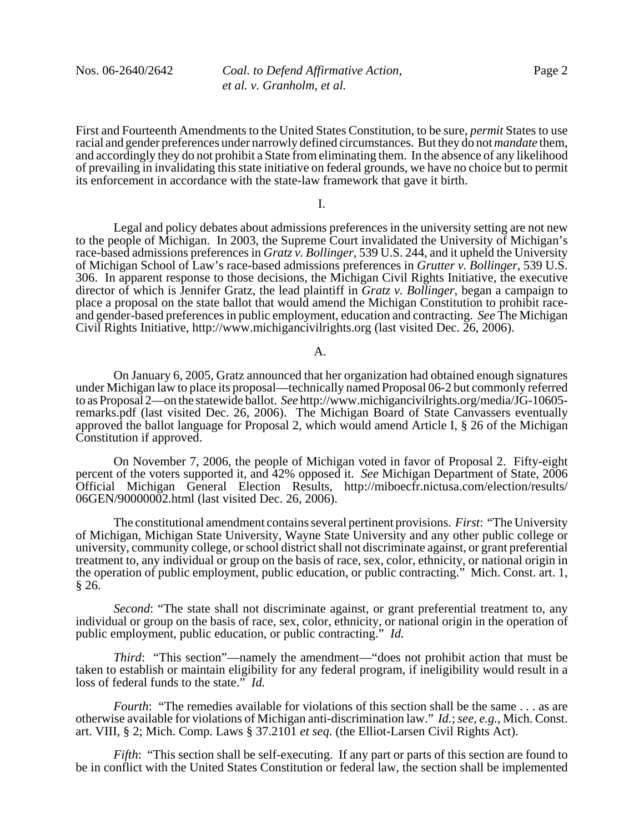First and Fourteenth Amendments to the United States Constitution, to be sure, *permit* States to use racial and gender preferences under narrowly defined circumstances. But they do not *mandate* them, and accordingly they do not prohibit a State from eliminating them. In the absence of any likelihood of prevailing in invalidating this state initiative on federal grounds, we have no choice but to permit its enforcement in accordance with the state-law framework that gave it birth.

I.

Legal and policy debates about admissions preferences in the university setting are not new to the people of Michigan. In 2003, the Supreme Court invalidated the University of Michigan's race-based admissions preferences in *Gratz v. Bollinger*, 539 U.S. 244, and it upheld the University of Michigan School of Law's race-based admissions preferences in *Grutter v. Bollinger*, 539 U.S. 306. In apparent response to those decisions, the Michigan Civil Rights Initiative, the executive director of which is Jennifer Gratz, the lead plaintiff in *Gratz v. Bollinger*, began a campaign to place a proposal on the state ballot that would amend the Michigan Constitution to prohibit raceand gender-based preferences in public employment, education and contracting. *See* The Michigan Civil Rights Initiative, http://www.michigancivilrights.org (last visited Dec. 26, 2006).

#### A.

On January 6, 2005, Gratz announced that her organization had obtained enough signatures under Michigan law to place its proposal—technically named Proposal 06-2 but commonly referred to as Proposal 2—on the statewide ballot. *See* http://www.michigancivilrights.org/media/JG-10605 remarks.pdf (last visited Dec. 26, 2006). The Michigan Board of State Canvassers eventually approved the ballot language for Proposal 2, which would amend Article I, § 26 of the Michigan Constitution if approved.

On November 7, 2006, the people of Michigan voted in favor of Proposal 2. Fifty-eight percent of the voters supported it, and 42% opposed it. *See* Michigan Department of State, 2006 Official Michigan General Election Results, http://miboecfr.nictusa.com/election/results/ 06GEN/90000002.html (last visited Dec. 26, 2006).

The constitutional amendment contains several pertinent provisions. *First*: "The University of Michigan, Michigan State University, Wayne State University and any other public college or university, community college, or school district shall not discriminate against, or grant preferential treatment to, any individual or group on the basis of race, sex, color, ethnicity, or national origin in the operation of public employment, public education, or public contracting." Mich. Const. art. 1,  $§ 26.$ 

*Second*: "The state shall not discriminate against, or grant preferential treatment to, any individual or group on the basis of race, sex, color, ethnicity, or national origin in the operation of public employment, public education, or public contracting." *Id.* 

*Third*: "This section"—namely the amendment—"does not prohibit action that must be taken to establish or maintain eligibility for any federal program, if ineligibility would result in a loss of federal funds to the state." *Id.*

*Fourth*: "The remedies available for violations of this section shall be the same . . . as are otherwise available for violations of Michigan anti-discrimination law." *Id.*; *see, e.g.*, Mich. Const. art. VIII, § 2; Mich. Comp. Laws § 37.2101 *et seq*. (the Elliot-Larsen Civil Rights Act).

*Fifth*: "This section shall be self-executing. If any part or parts of this section are found to be in conflict with the United States Constitution or federal law, the section shall be implemented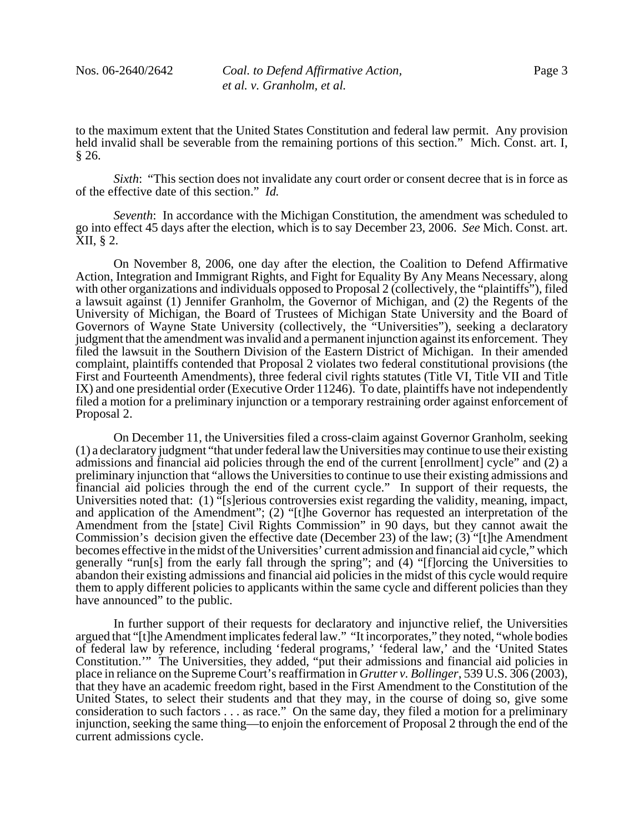to the maximum extent that the United States Constitution and federal law permit. Any provision held invalid shall be severable from the remaining portions of this section." Mich. Const. art. I, § 26.

*Sixth*: "This section does not invalidate any court order or consent decree that is in force as of the effective date of this section." *Id.*

*Seventh*: In accordance with the Michigan Constitution, the amendment was scheduled to go into effect 45 days after the election, which is to say December 23, 2006. *See* Mich. Const. art. XII, § 2.

On November 8, 2006, one day after the election, the Coalition to Defend Affirmative Action, Integration and Immigrant Rights, and Fight for Equality By Any Means Necessary, along with other organizations and individuals opposed to Proposal 2 (collectively, the "plaintiffs"), filed a lawsuit against (1) Jennifer Granholm, the Governor of Michigan, and (2) the Regents of the University of Michigan, the Board of Trustees of Michigan State University and the Board of Governors of Wayne State University (collectively, the "Universities"), seeking a declaratory judgment that the amendment was invalid and a permanent injunction against its enforcement. They filed the lawsuit in the Southern Division of the Eastern District of Michigan. In their amended complaint, plaintiffs contended that Proposal 2 violates two federal constitutional provisions (the First and Fourteenth Amendments), three federal civil rights statutes (Title VI, Title VII and Title IX) and one presidential order (Executive Order 11246). To date, plaintiffs have not independently filed a motion for a preliminary injunction or a temporary restraining order against enforcement of Proposal 2.

On December 11, the Universities filed a cross-claim against Governor Granholm, seeking (1) a declaratory judgment "that under federal law the Universities may continue to use their existing admissions and financial aid policies through the end of the current [enrollment] cycle" and (2) a preliminary injunction that "allows the Universities to continue to use their existing admissions and financial aid policies through the end of the current cycle." In support of their requests, the Universities noted that: (1) "[s]erious controversies exist regarding the validity, meaning, impact, and application of the Amendment"; (2) "[t]he Governor has requested an interpretation of the Amendment from the [state] Civil Rights Commission" in 90 days, but they cannot await the Commission's decision given the effective date (December 23) of the law; (3) "[t]he Amendment becomes effective in the midst of the Universities' current admission and financial aid cycle," which generally "run[s] from the early fall through the spring"; and (4) "[f]orcing the Universities to abandon their existing admissions and financial aid policies in the midst of this cycle would require them to apply different policies to applicants within the same cycle and different policies than they have announced" to the public.

In further support of their requests for declaratory and injunctive relief, the Universities argued that "[t]he Amendment implicates federal law." "It incorporates," they noted, "whole bodies of federal law by reference, including 'federal programs,' 'federal law,' and the 'United States Constitution.'" The Universities, they added, "put their admissions and financial aid policies in place in reliance on the Supreme Court's reaffirmation in *Grutter v. Bollinger*, 539 U.S. 306 (2003), that they have an academic freedom right, based in the First Amendment to the Constitution of the United States, to select their students and that they may, in the course of doing so, give some consideration to such factors . . . as race." On the same day, they filed a motion for a preliminary injunction, seeking the same thing—to enjoin the enforcement of Proposal 2 through the end of the current admissions cycle.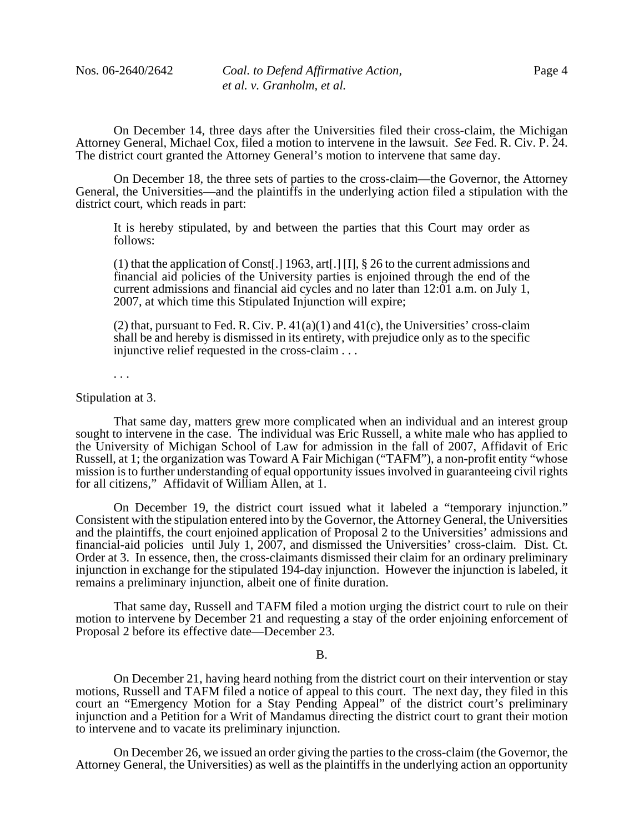On December 14, three days after the Universities filed their cross-claim, the Michigan Attorney General, Michael Cox, filed a motion to intervene in the lawsuit. *See* Fed. R. Civ. P. 24. The district court granted the Attorney General's motion to intervene that same day.

On December 18, the three sets of parties to the cross-claim—the Governor, the Attorney General, the Universities—and the plaintiffs in the underlying action filed a stipulation with the district court, which reads in part:

It is hereby stipulated, by and between the parties that this Court may order as follows:

(1) that the application of Const[.] 1963, art[.] [I], § 26 to the current admissions and financial aid policies of the University parties is enjoined through the end of the current admissions and financial aid cycles and no later than 12:01 a.m. on July 1, 2007, at which time this Stipulated Injunction will expire;

(2) that, pursuant to Fed. R. Civ. P.  $41(a)(1)$  and  $41(c)$ , the Universities' cross-claim shall be and hereby is dismissed in its entirety, with prejudice only as to the specific injunctive relief requested in the cross-claim . . .

. . .

Stipulation at 3.

That same day, matters grew more complicated when an individual and an interest group sought to intervene in the case. The individual was Eric Russell, a white male who has applied to the University of Michigan School of Law for admission in the fall of 2007, Affidavit of Eric Russell, at 1; the organization was Toward A Fair Michigan ("TAFM"), a non-profit entity "whose mission is to further understanding of equal opportunity issues involved in guaranteeing civil rights for all citizens," Affidavit of William Allen, at 1.

On December 19, the district court issued what it labeled a "temporary injunction." Consistent with the stipulation entered into by the Governor, the Attorney General, the Universities and the plaintiffs, the court enjoined application of Proposal 2 to the Universities' admissions and financial-aid policies until July 1, 2007, and dismissed the Universities' cross-claim. Dist. Ct. Order at 3. In essence, then, the cross-claimants dismissed their claim for an ordinary preliminary injunction in exchange for the stipulated 194-day injunction. However the injunction is labeled, it remains a preliminary injunction, albeit one of finite duration.

That same day, Russell and TAFM filed a motion urging the district court to rule on their motion to intervene by December 21 and requesting a stay of the order enjoining enforcement of Proposal 2 before its effective date—December 23.

B.

On December 21, having heard nothing from the district court on their intervention or stay motions, Russell and TAFM filed a notice of appeal to this court. The next day, they filed in this court an "Emergency Motion for a Stay Pending Appeal" of the district court's preliminary injunction and a Petition for a Writ of Mandamus directing the district court to grant their motion to intervene and to vacate its preliminary injunction.

On December 26, we issued an order giving the parties to the cross-claim (the Governor, the Attorney General, the Universities) as well as the plaintiffs in the underlying action an opportunity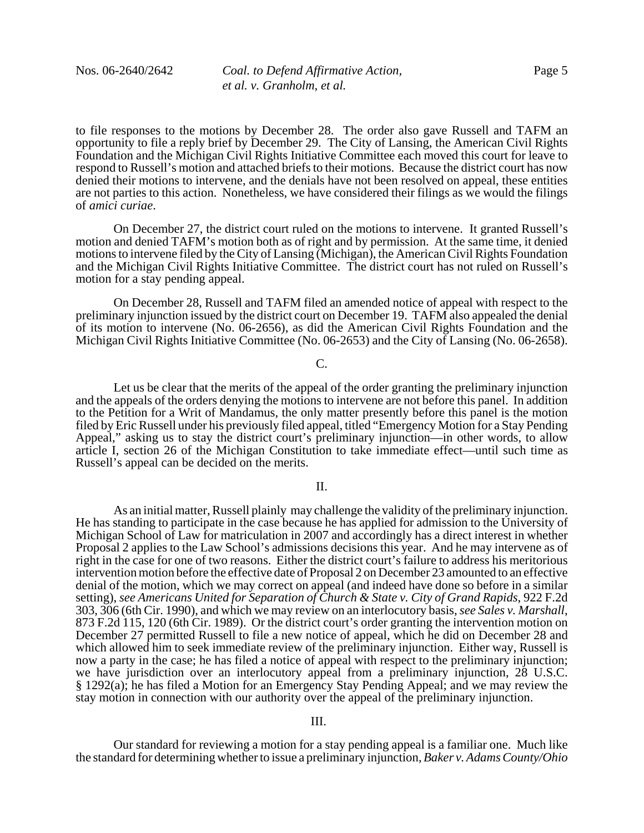to file responses to the motions by December 28. The order also gave Russell and TAFM an opportunity to file a reply brief by December 29. The City of Lansing, the American Civil Rights Foundation and the Michigan Civil Rights Initiative Committee each moved this court for leave to respond to Russell's motion and attached briefs to their motions. Because the district court has now denied their motions to intervene, and the denials have not been resolved on appeal, these entities are not parties to this action. Nonetheless, we have considered their filings as we would the filings of *amici curiae*.

On December 27, the district court ruled on the motions to intervene. It granted Russell's motion and denied TAFM's motion both as of right and by permission. At the same time, it denied motions to intervene filed by the City of Lansing (Michigan), the American Civil Rights Foundation and the Michigan Civil Rights Initiative Committee. The district court has not ruled on Russell's motion for a stay pending appeal.

On December 28, Russell and TAFM filed an amended notice of appeal with respect to the preliminary injunction issued by the district court on December 19. TAFM also appealed the denial of its motion to intervene (No. 06-2656), as did the American Civil Rights Foundation and the Michigan Civil Rights Initiative Committee (No. 06-2653) and the City of Lansing (No. 06-2658).

# C.

Let us be clear that the merits of the appeal of the order granting the preliminary injunction and the appeals of the orders denying the motions to intervene are not before this panel. In addition to the Petition for a Writ of Mandamus, the only matter presently before this panel is the motion filed by Eric Russell under his previously filed appeal, titled "Emergency Motion for a Stay Pending Appeal," asking us to stay the district court's preliminary injunction—in other words, to allow article I, section 26 of the Michigan Constitution to take immediate effect—until such time as Russell's appeal can be decided on the merits.

## II.

As an initial matter, Russell plainly may challenge the validity of the preliminary injunction. He has standing to participate in the case because he has applied for admission to the University of Michigan School of Law for matriculation in 2007 and accordingly has a direct interest in whether Proposal 2 applies to the Law School's admissions decisions this year. And he may intervene as of right in the case for one of two reasons. Either the district court's failure to address his meritorious intervention motion before the effective date of Proposal 2 on December 23 amounted to an effective denial of the motion, which we may correct on appeal (and indeed have done so before in a similar setting), *see Americans United for Separation of Church & State v. City of Grand Rapids*, 922 F.2d 303, 306 (6th Cir. 1990), and which we may review on an interlocutory basis, *see Sales v. Marshall*, 873 F.2d 115, 120 (6th Cir. 1989). Or the district court's order granting the intervention motion on December 27 permitted Russell to file a new notice of appeal, which he did on December 28 and which allowed him to seek immediate review of the preliminary injunction. Either way, Russell is now a party in the case; he has filed a notice of appeal with respect to the preliminary injunction; we have jurisdiction over an interlocutory appeal from a preliminary injunction, 28 U.S.C. § 1292(a); he has filed a Motion for an Emergency Stay Pending Appeal; and we may review the stay motion in connection with our authority over the appeal of the preliminary injunction.

### III.

Our standard for reviewing a motion for a stay pending appeal is a familiar one. Much like the standard for determining whether to issue a preliminary injunction, *Baker v. Adams County/Ohio*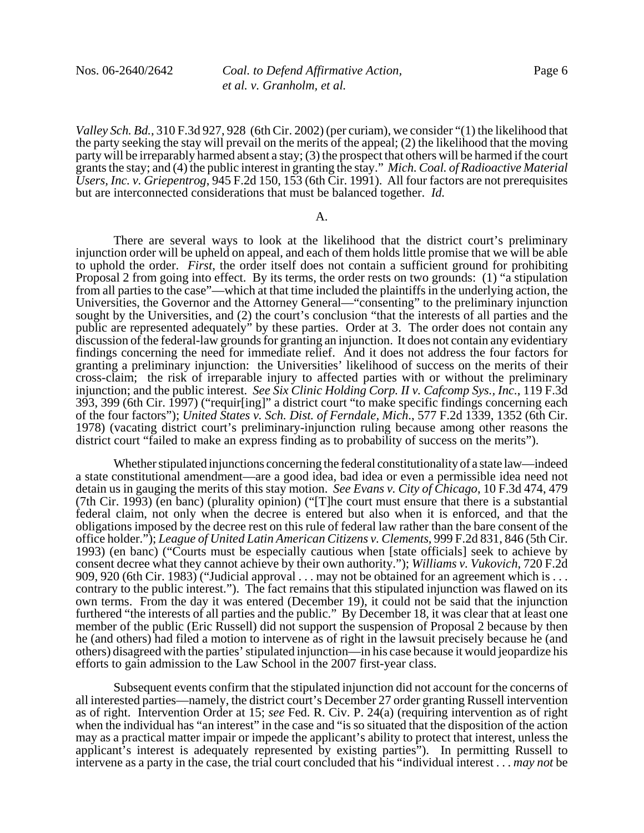Nos. 06-2640/2642 *Coal. to Defend Affirmative Action, et al. v. Granholm, et al.*

*Valley Sch. Bd.*, 310 F.3d 927, 928 (6th Cir. 2002) (per curiam), we consider "(1) the likelihood that the party seeking the stay will prevail on the merits of the appeal; (2) the likelihood that the moving party will be irreparably harmed absent a stay; (3) the prospect that others will be harmed if the court grants the stay; and (4) the public interest in granting the stay." *Mich. Coal. of Radioactive Material Users, Inc. v. Griepentrog*, 945 F.2d 150, 153 (6th Cir. 1991). All four factors are not prerequisites but are interconnected considerations that must be balanced together. *Id.*

#### A.

There are several ways to look at the likelihood that the district court's preliminary injunction order will be upheld on appeal, and each of them holds little promise that we will be able to uphold the order. *First*, the order itself does not contain a sufficient ground for prohibiting Proposal 2 from going into effect. By its terms, the order rests on two grounds: (1) "a stipulation from all parties to the case"—which at that time included the plaintiffs in the underlying action, the Universities, the Governor and the Attorney General—"consenting" to the preliminary injunction sought by the Universities, and (2) the court's conclusion "that the interests of all parties and the public are represented adequately" by these parties. Order at 3. The order does not contain any discussion of the federal-law grounds for granting an injunction. It does not contain any evidentiary findings concerning the need for immediate relief. And it does not address the four factors for granting a preliminary injunction: the Universities' likelihood of success on the merits of their cross-claim; the risk of irreparable injury to affected parties with or without the preliminary injunction; and the public interest. *See Six Clinic Holding Corp. II v. Cafcomp Sys., Inc.*, 119 F.3d 393, 399 (6th Cir. 1997) ("requir[ing]" a district court "to make specific findings concerning each of the four factors"); *United States v. Sch. Dist. of Ferndale, Mich*., 577 F.2d 1339, 1352 (6th Cir. 1978) (vacating district court's preliminary-injunction ruling because among other reasons the district court "failed to make an express finding as to probability of success on the merits").

Whether stipulated injunctions concerning the federal constitutionality of a state law—indeed a state constitutional amendment—are a good idea, bad idea or even a permissible idea need not detain us in gauging the merits of this stay motion. *See Evans v. City of Chicago*, 10 F.3d 474, 479 (7th Cir. 1993) (en banc) (plurality opinion) ("[T]he court must ensure that there is a substantial federal claim, not only when the decree is entered but also when it is enforced, and that the obligations imposed by the decree rest on this rule of federal law rather than the bare consent of the office holder."); *League of United Latin American Citizens v. Clements*, 999 F.2d 831, 846 (5th Cir. 1993) (en banc) ("Courts must be especially cautious when [state officials] seek to achieve by consent decree what they cannot achieve by their own authority."); *Williams v. Vukovich*, 720 F.2d 909, 920 (6th Cir. 1983) ("Judicial approval . . . may not be obtained for an agreement which is . . . contrary to the public interest."). The fact remains that this stipulated injunction was flawed on its own terms. From the day it was entered (December 19), it could not be said that the injunction furthered "the interests of all parties and the public." By December 18, it was clear that at least one member of the public (Eric Russell) did not support the suspension of Proposal 2 because by then he (and others) had filed a motion to intervene as of right in the lawsuit precisely because he (and others) disagreed with the parties' stipulated injunction—in his case because it would jeopardize his efforts to gain admission to the Law School in the 2007 first-year class.

Subsequent events confirm that the stipulated injunction did not account for the concerns of all interested parties—namely, the district court's December 27 order granting Russell intervention as of right. Intervention Order at 15; *see* Fed. R. Civ. P. 24(a) (requiring intervention as of right when the individual has "an interest" in the case and "is so situated that the disposition of the action may as a practical matter impair or impede the applicant's ability to protect that interest, unless the applicant's interest is adequately represented by existing parties"). In permitting Russell to intervene as a party in the case, the trial court concluded that his "individual interest . . . *may not* be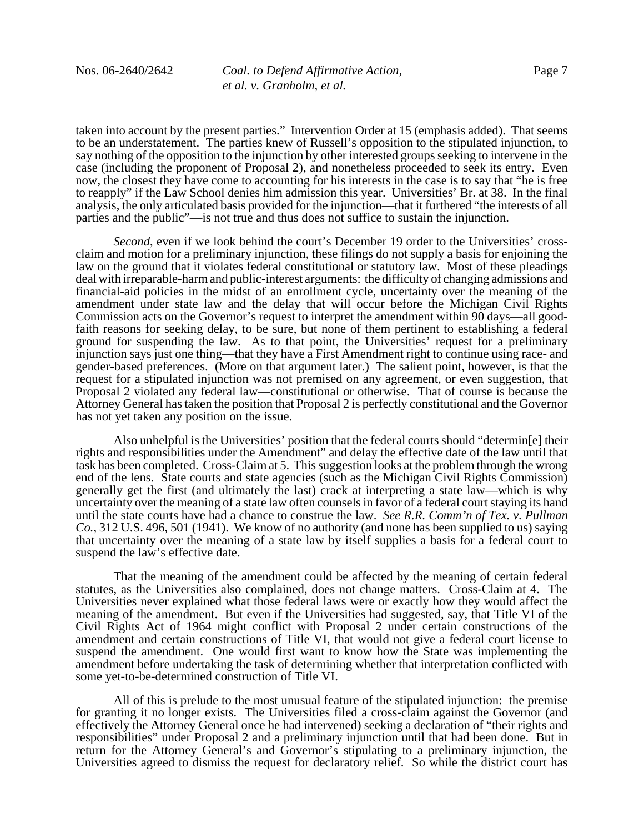taken into account by the present parties." Intervention Order at 15 (emphasis added). That seems to be an understatement. The parties knew of Russell's opposition to the stipulated injunction, to say nothing of the opposition to the injunction by other interested groups seeking to intervene in the case (including the proponent of Proposal 2), and nonetheless proceeded to seek its entry. Even now, the closest they have come to accounting for his interests in the case is to say that "he is free to reapply" if the Law School denies him admission this year. Universities' Br. at 38. In the final analysis, the only articulated basis provided for the injunction—that it furthered "the interests of all parties and the public"—is not true and thus does not suffice to sustain the injunction.

*Second*, even if we look behind the court's December 19 order to the Universities' crossclaim and motion for a preliminary injunction, these filings do not supply a basis for enjoining the law on the ground that it violates federal constitutional or statutory law. Most of these pleadings deal with irreparable-harm and public-interest arguments: the difficulty of changing admissions and financial-aid policies in the midst of an enrollment cycle, uncertainty over the meaning of the amendment under state law and the delay that will occur before the Michigan Civil Rights Commission acts on the Governor's request to interpret the amendment within 90 days—all goodfaith reasons for seeking delay, to be sure, but none of them pertinent to establishing a federal ground for suspending the law. As to that point, the Universities' request for a preliminary injunction says just one thing—that they have a First Amendment right to continue using race- and gender-based preferences. (More on that argument later.) The salient point, however, is that the request for a stipulated injunction was not premised on any agreement, or even suggestion, that Proposal 2 violated any federal law—constitutional or otherwise. That of course is because the Attorney General has taken the position that Proposal 2 is perfectly constitutional and the Governor has not yet taken any position on the issue.

Also unhelpful is the Universities' position that the federal courts should "determin[e] their rights and responsibilities under the Amendment" and delay the effective date of the law until that task has been completed. Cross-Claim at 5. This suggestion looks at the problem through the wrong end of the lens. State courts and state agencies (such as the Michigan Civil Rights Commission) generally get the first (and ultimately the last) crack at interpreting a state law—which is why uncertainty over the meaning of a state law often counsels in favor of a federal court staying its hand until the state courts have had a chance to construe the law. *See R.R. Comm'n of Tex. v. Pullman Co.*, 312 U.S. 496, 501 (1941).We know of no authority (and none has been supplied to us) saying that uncertainty over the meaning of a state law by itself supplies a basis for a federal court to suspend the law's effective date.

That the meaning of the amendment could be affected by the meaning of certain federal statutes, as the Universities also complained, does not change matters. Cross-Claim at 4. The Universities never explained what those federal laws were or exactly how they would affect the meaning of the amendment. But even if the Universities had suggested, say, that Title VI of the Civil Rights Act of 1964 might conflict with Proposal 2 under certain constructions of the amendment and certain constructions of Title VI, that would not give a federal court license to suspend the amendment. One would first want to know how the State was implementing the amendment before undertaking the task of determining whether that interpretation conflicted with some yet-to-be-determined construction of Title VI.

All of this is prelude to the most unusual feature of the stipulated injunction: the premise for granting it no longer exists. The Universities filed a cross-claim against the Governor (and effectively the Attorney General once he had intervened) seeking a declaration of "their rights and responsibilities" under Proposal 2 and a preliminary injunction until that had been done. But in return for the Attorney General's and Governor's stipulating to a preliminary injunction, the Universities agreed to dismiss the request for declaratory relief. So while the district court has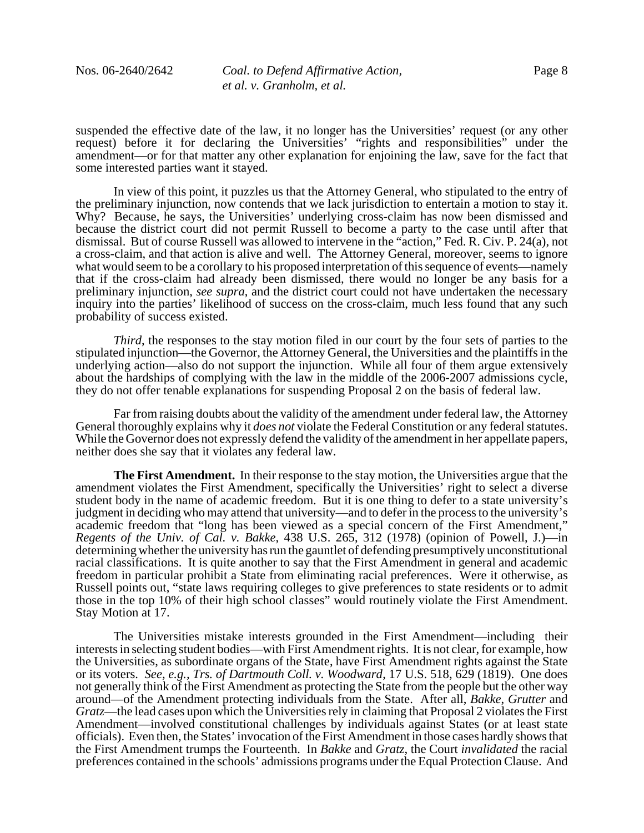suspended the effective date of the law, it no longer has the Universities' request (or any other request) before it for declaring the Universities' "rights and responsibilities" under the amendment—or for that matter any other explanation for enjoining the law, save for the fact that some interested parties want it stayed.

In view of this point, it puzzles us that the Attorney General, who stipulated to the entry of the preliminary injunction, now contends that we lack jurisdiction to entertain a motion to stay it. Why? Because, he says, the Universities' underlying cross-claim has now been dismissed and because the district court did not permit Russell to become a party to the case until after that dismissal. But of course Russell was allowed to intervene in the "action," Fed. R. Civ. P. 24(a), not a cross-claim, and that action is alive and well. The Attorney General, moreover, seems to ignore what would seem to be a corollary to his proposed interpretation of this sequence of events—namely that if the cross-claim had already been dismissed, there would no longer be any basis for a preliminary injunction, *see supra*, and the district court could not have undertaken the necessary inquiry into the parties' likelihood of success on the cross-claim, much less found that any such probability of success existed.

*Third*, the responses to the stay motion filed in our court by the four sets of parties to the stipulated injunction—the Governor, the Attorney General, the Universities and the plaintiffs in the underlying action—also do not support the injunction. While all four of them argue extensively about the hardships of complying with the law in the middle of the 2006-2007 admissions cycle, they do not offer tenable explanations for suspending Proposal 2 on the basis of federal law.

Far from raising doubts about the validity of the amendment under federal law, the Attorney General thoroughly explains why it *does not* violate the Federal Constitution or any federal statutes. While the Governor does not expressly defend the validity of the amendment in her appellate papers, neither does she say that it violates any federal law.

**The First Amendment.** In their response to the stay motion, the Universities argue that the amendment violates the First Amendment, specifically the Universities' right to select a diverse student body in the name of academic freedom. But it is one thing to defer to a state university's judgment in deciding who may attend that university—and to defer in the process to the university's academic freedom that "long has been viewed as a special concern of the First Amendment," *Regents of the Univ. of Cal. v. Bakke*, 438 U.S. 265, 312 (1978) (opinion of Powell, J.)—in determining whether the university has run the gauntlet of defending presumptively unconstitutional racial classifications. It is quite another to say that the First Amendment in general and academic freedom in particular prohibit a State from eliminating racial preferences. Were it otherwise, as Russell points out, "state laws requiring colleges to give preferences to state residents or to admit those in the top 10% of their high school classes" would routinely violate the First Amendment. Stay Motion at 17.

The Universities mistake interests grounded in the First Amendment—including their interests in selecting student bodies—with First Amendment rights. It is not clear, for example, how the Universities, as subordinate organs of the State, have First Amendment rights against the State or its voters. *See, e.g., Trs. of Dartmouth Coll. v. Woodward*, 17 U.S. 518, 629 (1819). One does not generally think of the First Amendment as protecting the State from the people but the other way around—of the Amendment protecting individuals from the State. After all, *Bakke*, *Grutter* and *Gratz*—the lead cases upon which the Universities rely in claiming that Proposal 2 violates the First Amendment—involved constitutional challenges by individuals against States (or at least state officials). Even then, the States' invocation of the First Amendment in those cases hardly shows that the First Amendment trumps the Fourteenth. In *Bakke* and *Gratz*, the Court *invalidated* the racial preferences contained in the schools' admissions programs under the Equal Protection Clause. And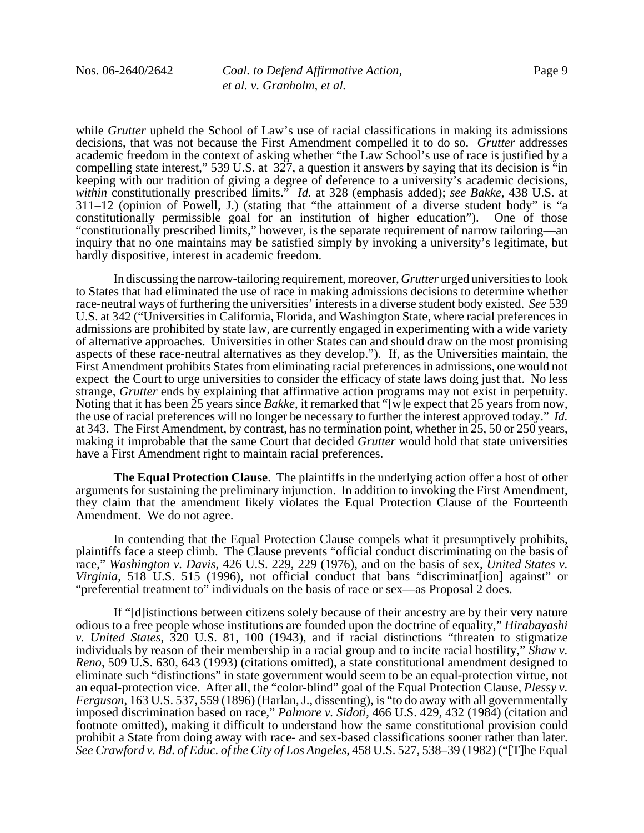while *Grutter* upheld the School of Law's use of racial classifications in making its admissions decisions, that was not because the First Amendment compelled it to do so. *Grutter* addresses academic freedom in the context of asking whether "the Law School's use of race is justified by a compelling state interest," 539 U.S. at 327, a question it answers by saying that its decision is "in keeping with our tradition of giving a degree of deference to a university's academic decisions, *within* constitutionally prescribed limits." *Id.* at 328 (emphasis added); *see Bakke*, 438 U.S. at 311–12 (opinion of Powell, J.) (stating that "the attainment of a diverse student body" is "a constitutionally permissible goal for an institution of higher education"). One of those "constitutionally prescribed limits," however, is the separate requirement of narrow tailoring—an inquiry that no one maintains may be satisfied simply by invoking a university's legitimate, but hardly dispositive, interest in academic freedom.

In discussing the narrow-tailoring requirement, moreover, *Grutter* urged universities to look to States that had eliminated the use of race in making admissions decisions to determine whether race-neutral ways of furthering the universities' interests in a diverse student body existed. *See* 539 U.S. at 342 ("Universities in California, Florida, and Washington State, where racial preferences in admissions are prohibited by state law, are currently engaged in experimenting with a wide variety of alternative approaches. Universities in other States can and should draw on the most promising aspects of these race-neutral alternatives as they develop."). If, as the Universities maintain, the First Amendment prohibits States from eliminating racial preferences in admissions, one would not expect the Court to urge universities to consider the efficacy of state laws doing just that. No less strange, *Grutter* ends by explaining that affirmative action programs may not exist in perpetuity. Noting that it has been 25 years since *Bakke*, it remarked that "[w]e expect that 25 years from now, the use of racial preferences will no longer be necessary to further the interest approved today." *Id.* at 343. The First Amendment, by contrast, has no termination point, whether in 25, 50 or 250 years, making it improbable that the same Court that decided *Grutter* would hold that state universities have a First Amendment right to maintain racial preferences.

**The Equal Protection Clause**. The plaintiffs in the underlying action offer a host of other arguments for sustaining the preliminary injunction. In addition to invoking the First Amendment, they claim that the amendment likely violates the Equal Protection Clause of the Fourteenth Amendment. We do not agree.

In contending that the Equal Protection Clause compels what it presumptively prohibits, plaintiffs face a steep climb. The Clause prevents "official conduct discriminating on the basis of race," *Washington v. Davis*, 426 U.S. 229, 229 (1976), and on the basis of sex, *United States v. Virginia*, 518 U.S. 515 (1996), not official conduct that bans "discriminat[ion] against" or "preferential treatment to" individuals on the basis of race or sex—as Proposal 2 does.

If "[d]istinctions between citizens solely because of their ancestry are by their very nature odious to a free people whose institutions are founded upon the doctrine of equality," *Hirabayashi v. United States*, 320 U.S. 81, 100 (1943), and if racial distinctions "threaten to stigmatize individuals by reason of their membership in a racial group and to incite racial hostility," *Shaw v. Reno*, 509 U.S. 630, 643 (1993) (citations omitted), a state constitutional amendment designed to eliminate such "distinctions" in state government would seem to be an equal-protection virtue, not an equal-protection vice. After all, the "color-blind" goal of the Equal Protection Clause, *Plessy v. Ferguson*, 163 U.S. 537, 559 (1896) (Harlan, J., dissenting), is "to do away with all governmentally imposed discrimination based on race," *Palmore v. Sidoti*, 466 U.S. 429, 432 (1984) (citation and footnote omitted), making it difficult to understand how the same constitutional provision could prohibit a State from doing away with race- and sex-based classifications sooner rather than later. *See Crawford v. Bd. of Educ. of the City of Los Angeles*, 458 U.S. 527, 538–39 (1982) ("[T]he Equal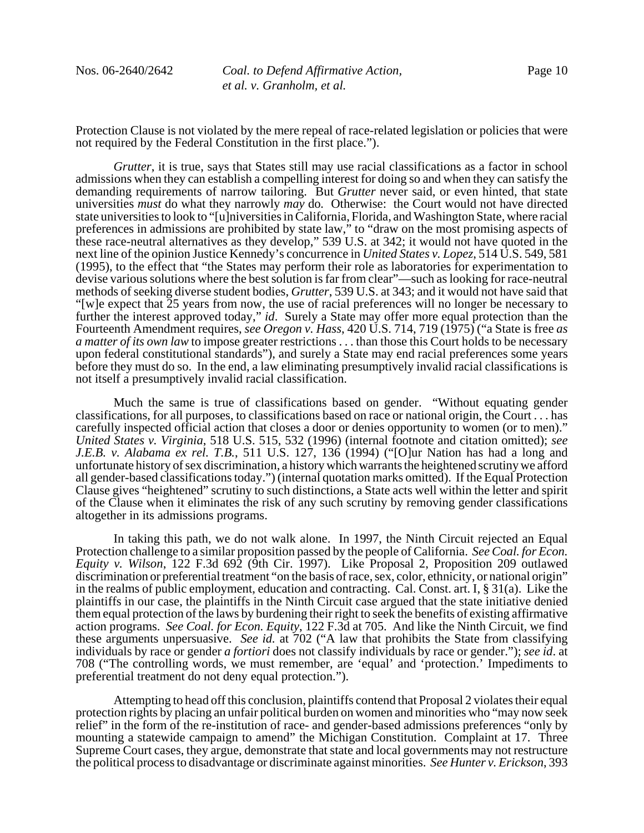Protection Clause is not violated by the mere repeal of race-related legislation or policies that were not required by the Federal Constitution in the first place.").

*Grutter*, it is true, says that States still may use racial classifications as a factor in school admissions when they can establish a compelling interest for doing so and when they can satisfy the demanding requirements of narrow tailoring. But *Grutter* never said, or even hinted, that state universities *must* do what they narrowly *may* do*.* Otherwise: the Court would not have directed state universities to look to "[u]niversities in California, Florida, and Washington State, where racial preferences in admissions are prohibited by state law," to "draw on the most promising aspects of these race-neutral alternatives as they develop," 539 U.S. at 342; it would not have quoted in the next line of the opinion Justice Kennedy's concurrence in *United States v. Lopez*, 514 U.S. 549, 581 (1995), to the effect that "the States may perform their role as laboratories for experimentation to devise various solutions where the best solution is far from clear"—such as looking for race-neutral methods of seeking diverse student bodies, *Grutter*, 539 U.S. at 343; and it would not have said that "[w]e expect that 25 years from now, the use of racial preferences will no longer be necessary to further the interest approved today," *id*. Surely a State may offer more equal protection than the Fourteenth Amendment requires, *see Oregon v. Hass*, 420 U.S. 714, 719 (1975) ("a State is free *as a matter of its own law* to impose greater restrictions . . . than those this Court holds to be necessary upon federal constitutional standards"), and surely a State may end racial preferences some years before they must do so. In the end, a law eliminating presumptively invalid racial classifications is not itself a presumptively invalid racial classification.

Much the same is true of classifications based on gender. "Without equating gender classifications, for all purposes, to classifications based on race or national origin, the Court . . . has carefully inspected official action that closes a door or denies opportunity to women (or to men)." *United States v. Virginia*, 518 U.S. 515, 532 (1996) (internal footnote and citation omitted); *see J.E.B. v. Alabama ex rel. T.B.*, 511 U.S. 127, 136 (1994) ("[O]ur Nation has had a long and unfortunate history of sex discrimination, a history which warrants the heightened scrutiny we afford all gender-based classifications today.") (internal quotation marks omitted). If the Equal Protection Clause gives "heightened" scrutiny to such distinctions, a State acts well within the letter and spirit of the Clause when it eliminates the risk of any such scrutiny by removing gender classifications altogether in its admissions programs.

In taking this path, we do not walk alone. In 1997, the Ninth Circuit rejected an Equal Protection challenge to a similar proposition passed by the people of California. *See Coal. for Econ. Equity v. Wilson*, 122 F.3d 692 (9th Cir. 1997). Like Proposal 2, Proposition 209 outlawed discrimination or preferential treatment "on the basis of race, sex, color, ethnicity, or national origin" in the realms of public employment, education and contracting. Cal. Const. art. I, § 31(a). Like the plaintiffs in our case, the plaintiffs in the Ninth Circuit case argued that the state initiative denied them equal protection of the laws by burdening their right to seek the benefits of existing affirmative action programs. *See Coal. for Econ. Equity*, 122 F.3d at 705. And like the Ninth Circuit, we find these arguments unpersuasive. *See id.* at 702 ("A law that prohibits the State from classifying individuals by race or gender *a fortiori* does not classify individuals by race or gender."); *see id*. at 708 ("The controlling words, we must remember, are 'equal' and 'protection.' Impediments to preferential treatment do not deny equal protection.").

Attempting to head off this conclusion, plaintiffs contend that Proposal 2 violates their equal protection rights by placing an unfair political burden on women and minorities who "may now seek relief" in the form of the re-institution of race- and gender-based admissions preferences "only by mounting a statewide campaign to amend" the Michigan Constitution. Complaint at 17. Three Supreme Court cases, they argue, demonstrate that state and local governments may not restructure the political process to disadvantage or discriminate against minorities. *See Hunter v. Erickson*, 393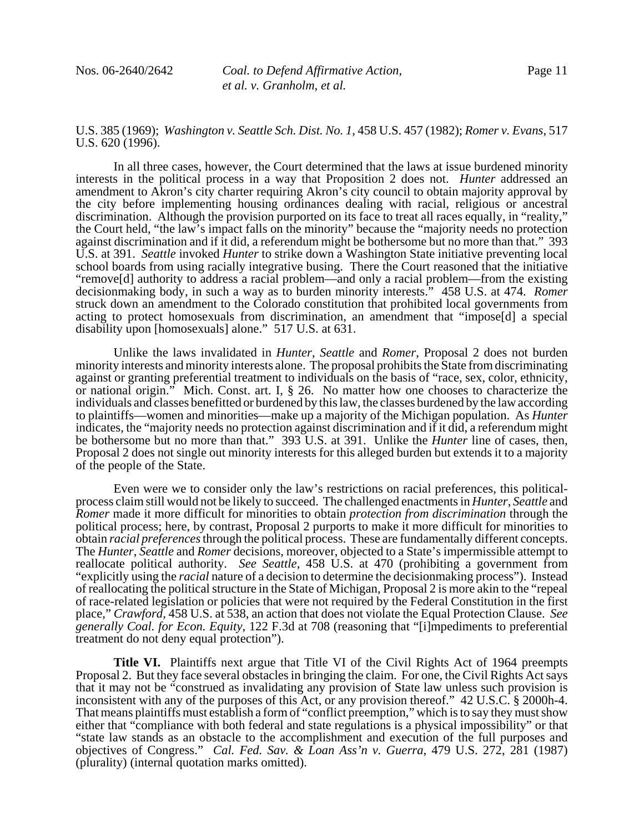U.S. 385 (1969); *Washington v. Seattle Sch. Dist. No. 1*, 458 U.S. 457 (1982); *Romer v. Evans*, 517 U.S. 620 (1996).

In all three cases, however, the Court determined that the laws at issue burdened minority interests in the political process in a way that Proposition 2 does not. *Hunter* addressed an amendment to Akron's city charter requiring Akron's city council to obtain majority approval by the city before implementing housing ordinances dealing with racial, religious or ancestral discrimination. Although the provision purported on its face to treat all races equally, in "reality," the Court held, "the law's impact falls on the minority" because the "majority needs no protection against discrimination and if it did, a referendum might be bothersome but no more than that." 393 U.S. at 391. *Seattle* invoked *Hunter* to strike down a Washington State initiative preventing local school boards from using racially integrative busing. There the Court reasoned that the initiative "remove[d] authority to address a racial problem—and only a racial problem—from the existing decisionmaking body, in such a way as to burden minority interests." 458 U.S. at 474. *Romer* struck down an amendment to the Colorado constitution that prohibited local governments from acting to protect homosexuals from discrimination, an amendment that "impose[d] a special disability upon [homosexuals] alone." 517 U.S. at 631.

Unlike the laws invalidated in *Hunter*, *Seattle* and *Romer*, Proposal 2 does not burden minority interests and minority interests alone. The proposal prohibits the State from discriminating against or granting preferential treatment to individuals on the basis of "race, sex, color, ethnicity, or national origin." Mich. Const. art. I, § 26. No matter how one chooses to characterize the individuals and classes benefitted or burdened by this law, the classes burdened by the law according to plaintiffs—women and minorities—make up a majority of the Michigan population. As *Hunter* indicates, the "majority needs no protection against discrimination and if it did, a referendum might be bothersome but no more than that." 393 U.S. at 391. Unlike the *Hunter* line of cases, then, Proposal 2 does not single out minority interests for this alleged burden but extends it to a majority of the people of the State.

Even were we to consider only the law's restrictions on racial preferences, this politicalprocess claim still would not be likely to succeed. The challenged enactments in *Hunter*, *Seattle* and *Romer* made it more difficult for minorities to obtain *protection from discrimination* through the political process; here, by contrast, Proposal 2 purports to make it more difficult for minorities to obtain *racial preferences* through the political process. These are fundamentally different concepts. The *Hunter*, *Seattle* and *Romer* decisions, moreover, objected to a State's impermissible attempt to reallocate political authority. *See Seattle*, 458 U.S. at 470 (prohibiting a government from "explicitly using the *racial* nature of a decision to determine the decisionmaking process"). Instead of reallocating the political structure in the State of Michigan, Proposal 2 is more akin to the "repeal of race-related legislation or policies that were not required by the Federal Constitution in the first place," *Crawford*, 458 U.S. at 538, an action that does not violate the Equal Protection Clause. *See generally Coal. for Econ. Equity*, 122 F.3d at 708 (reasoning that "[i]mpediments to preferential treatment do not deny equal protection").

**Title VI.** Plaintiffs next argue that Title VI of the Civil Rights Act of 1964 preempts Proposal 2. But they face several obstacles in bringing the claim. For one, the Civil Rights Act says that it may not be "construed as invalidating any provision of State law unless such provision is inconsistent with any of the purposes of this Act, or any provision thereof." 42 U.S.C. § 2000h-4. That means plaintiffs must establish a form of "conflict preemption," which is to say they must show either that "compliance with both federal and state regulations is a physical impossibility" or that "state law stands as an obstacle to the accomplishment and execution of the full purposes and objectives of Congress." *Cal. Fed. Sav. & Loan Ass'n v. Guerra*, 479 U.S. 272, 281 (1987) (plurality) (internal quotation marks omitted).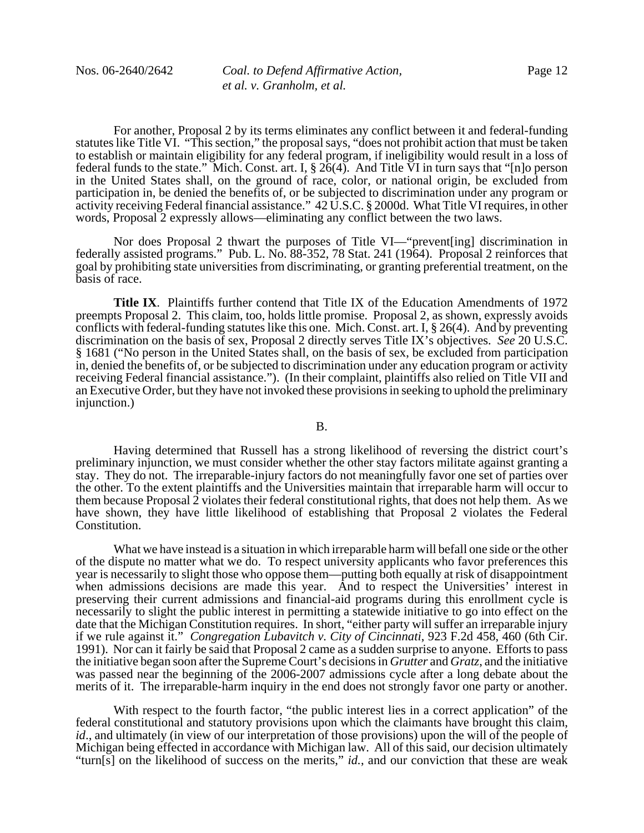For another, Proposal 2 by its terms eliminates any conflict between it and federal-funding statutes like Title VI. "This section," the proposal says, "does not prohibit action that must be taken to establish or maintain eligibility for any federal program, if ineligibility would result in a loss of federal funds to the state." Mich. Const. art. I, § 26(4). And Title VI in turn says that "[n]o person in the United States shall, on the ground of race, color, or national origin, be excluded from participation in, be denied the benefits of, or be subjected to discrimination under any program or activity receiving Federal financial assistance." 42 U.S.C. § 2000d. What Title VI requires, in other words, Proposal 2 expressly allows—eliminating any conflict between the two laws.

Nor does Proposal 2 thwart the purposes of Title VI—"prevent[ing] discrimination in federally assisted programs." Pub. L. No. 88-352, 78 Stat. 241 (1964). Proposal 2 reinforces that goal by prohibiting state universities from discriminating, or granting preferential treatment, on the basis of race.

**Title IX**. Plaintiffs further contend that Title IX of the Education Amendments of 1972 preempts Proposal 2. This claim, too, holds little promise. Proposal 2, as shown, expressly avoids conflicts with federal-funding statutes like this one. Mich. Const. art. I, § 26(4). And by preventing discrimination on the basis of sex, Proposal 2 directly serves Title IX's objectives. *See* 20 U.S.C. § 1681 ("No person in the United States shall, on the basis of sex, be excluded from participation in, denied the benefits of, or be subjected to discrimination under any education program or activity receiving Federal financial assistance."). (In their complaint, plaintiffs also relied on Title VII and an Executive Order, but they have not invoked these provisions in seeking to uphold the preliminary injunction.)

#### B.

Having determined that Russell has a strong likelihood of reversing the district court's preliminary injunction, we must consider whether the other stay factors militate against granting a stay. They do not. The irreparable-injury factors do not meaningfully favor one set of parties over the other. To the extent plaintiffs and the Universities maintain that irreparable harm will occur to them because Proposal  $\tilde{2}$  violates their federal constitutional rights, that does not help them. As we have shown, they have little likelihood of establishing that Proposal 2 violates the Federal Constitution.

What we have instead is a situation in which irreparable harm will befall one side or the other of the dispute no matter what we do. To respect university applicants who favor preferences this year is necessarily to slight those who oppose them—putting both equally at risk of disappointment when admissions decisions are made this year. And to respect the Universities' interest in preserving their current admissions and financial-aid programs during this enrollment cycle is necessarily to slight the public interest in permitting a statewide initiative to go into effect on the date that the Michigan Constitution requires. In short, "either party will suffer an irreparable injury if we rule against it." *Congregation Lubavitch v. City of Cincinnati*, 923 F.2d 458, 460 (6th Cir. 1991). Nor can it fairly be said that Proposal 2 came as a sudden surprise to anyone. Efforts to pass the initiative began soon after the Supreme Court's decisions in *Grutter* and *Gratz*, and the initiative was passed near the beginning of the 2006-2007 admissions cycle after a long debate about the merits of it. The irreparable-harm inquiry in the end does not strongly favor one party or another.

With respect to the fourth factor, "the public interest lies in a correct application" of the federal constitutional and statutory provisions upon which the claimants have brought this claim, *id*., and ultimately (in view of our interpretation of those provisions) upon the will of the people of Michigan being effected in accordance with Michigan law. All of this said, our decision ultimately "turn[s] on the likelihood of success on the merits," *id.*, and our conviction that these are weak